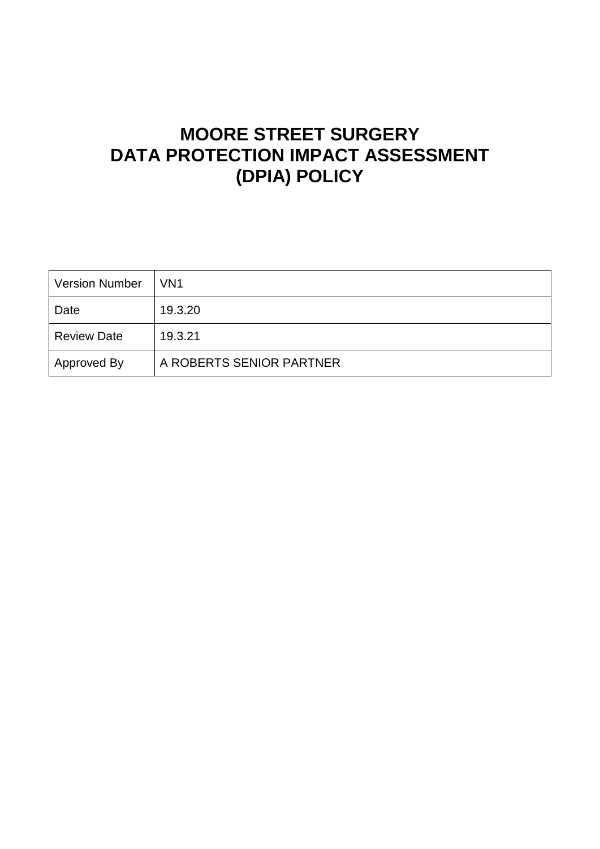# **MOORE STREET SURGERY DATA PROTECTION IMPACT ASSESSMENT (DPIA) POLICY**

| <b>Version Number</b> | VN <sub>1</sub>          |
|-----------------------|--------------------------|
| Date                  | 19.3.20                  |
| <b>Review Date</b>    | 19.3.21                  |
| Approved By           | A ROBERTS SENIOR PARTNER |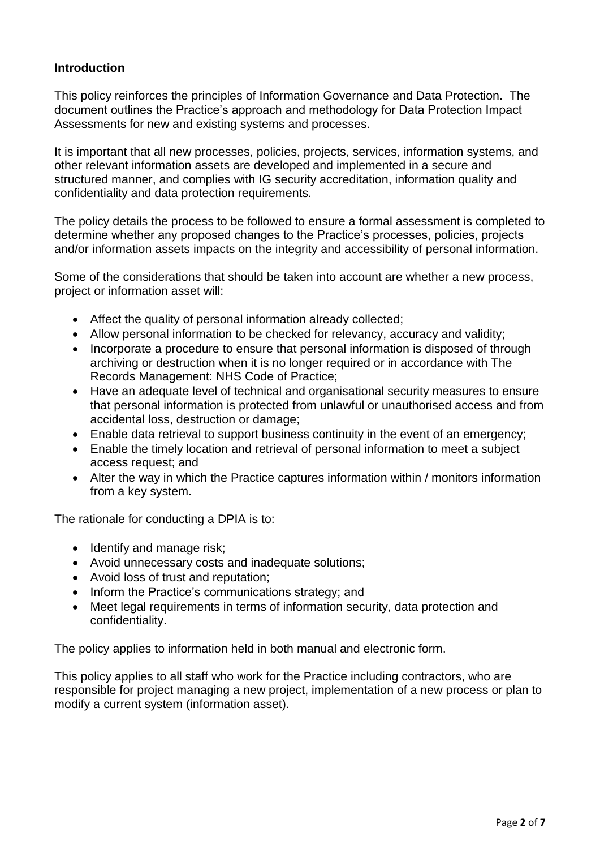## **Introduction**

This policy reinforces the principles of Information Governance and Data Protection. The document outlines the Practice's approach and methodology for Data Protection Impact Assessments for new and existing systems and processes.

It is important that all new processes, policies, projects, services, information systems, and other relevant information assets are developed and implemented in a secure and structured manner, and complies with IG security accreditation, information quality and confidentiality and data protection requirements.

The policy details the process to be followed to ensure a formal assessment is completed to determine whether any proposed changes to the Practice's processes, policies, projects and/or information assets impacts on the integrity and accessibility of personal information.

Some of the considerations that should be taken into account are whether a new process, project or information asset will:

- Affect the quality of personal information already collected;
- Allow personal information to be checked for relevancy, accuracy and validity;
- Incorporate a procedure to ensure that personal information is disposed of through archiving or destruction when it is no longer required or in accordance with The Records Management: NHS Code of Practice;
- Have an adequate level of technical and organisational security measures to ensure that personal information is protected from unlawful or unauthorised access and from accidental loss, destruction or damage;
- Enable data retrieval to support business continuity in the event of an emergency;
- Enable the timely location and retrieval of personal information to meet a subject access request; and
- Alter the way in which the Practice captures information within / monitors information from a key system.

The rationale for conducting a DPIA is to:

- Identify and manage risk;
- Avoid unnecessary costs and inadequate solutions;
- Avoid loss of trust and reputation;
- Inform the Practice's communications strategy; and
- Meet legal requirements in terms of information security, data protection and confidentiality.

The policy applies to information held in both manual and electronic form.

This policy applies to all staff who work for the Practice including contractors, who are responsible for project managing a new project, implementation of a new process or plan to modify a current system (information asset).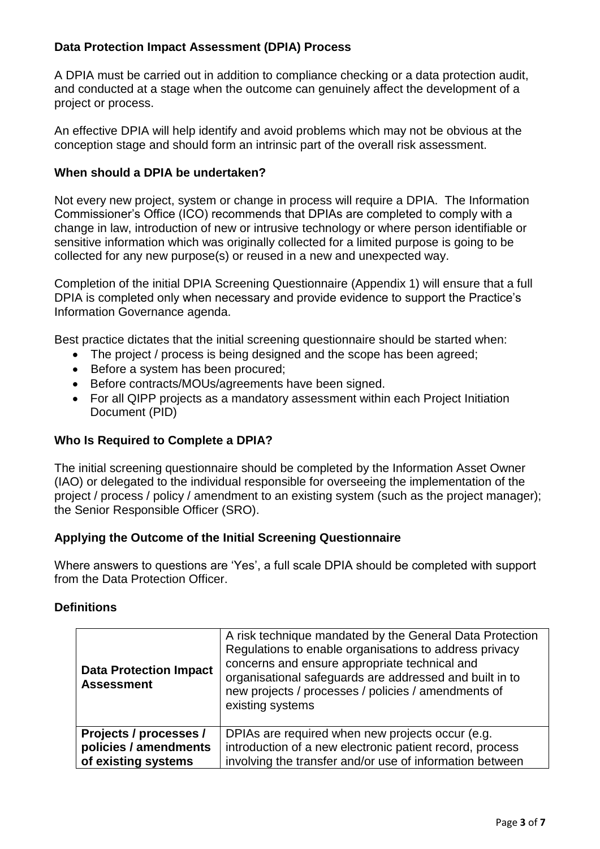# **Data Protection Impact Assessment (DPIA) Process**

A DPIA must be carried out in addition to compliance checking or a data protection audit, and conducted at a stage when the outcome can genuinely affect the development of a project or process.

An effective DPIA will help identify and avoid problems which may not be obvious at the conception stage and should form an intrinsic part of the overall risk assessment.

## **When should a DPIA be undertaken?**

Not every new project, system or change in process will require a DPIA. The Information Commissioner's Office (ICO) recommends that DPIAs are completed to comply with a change in law, introduction of new or intrusive technology or where person identifiable or sensitive information which was originally collected for a limited purpose is going to be collected for any new purpose(s) or reused in a new and unexpected way.

Completion of the initial DPIA Screening Questionnaire (Appendix 1) will ensure that a full DPIA is completed only when necessary and provide evidence to support the Practice's Information Governance agenda.

Best practice dictates that the initial screening questionnaire should be started when:

- The project / process is being designed and the scope has been agreed;
- Before a system has been procured;
- Before contracts/MOUs/agreements have been signed.
- For all QIPP projects as a mandatory assessment within each Project Initiation Document (PID)

## **Who Is Required to Complete a DPIA?**

The initial screening questionnaire should be completed by the Information Asset Owner (IAO) or delegated to the individual responsible for overseeing the implementation of the project / process / policy / amendment to an existing system (such as the project manager); the Senior Responsible Officer (SRO).

## **Applying the Outcome of the Initial Screening Questionnaire**

Where answers to questions are 'Yes', a full scale DPIA should be completed with support from the Data Protection Officer.

## **Definitions**

| <b>Data Protection Impact</b><br><b>Assessment</b> | A risk technique mandated by the General Data Protection<br>Regulations to enable organisations to address privacy<br>concerns and ensure appropriate technical and<br>organisational safeguards are addressed and built in to<br>new projects / processes / policies / amendments of<br>existing systems |
|----------------------------------------------------|-----------------------------------------------------------------------------------------------------------------------------------------------------------------------------------------------------------------------------------------------------------------------------------------------------------|
| Projects / processes /                             | DPIAs are required when new projects occur (e.g.                                                                                                                                                                                                                                                          |
| policies / amendments                              | introduction of a new electronic patient record, process                                                                                                                                                                                                                                                  |
| of existing systems                                | involving the transfer and/or use of information between                                                                                                                                                                                                                                                  |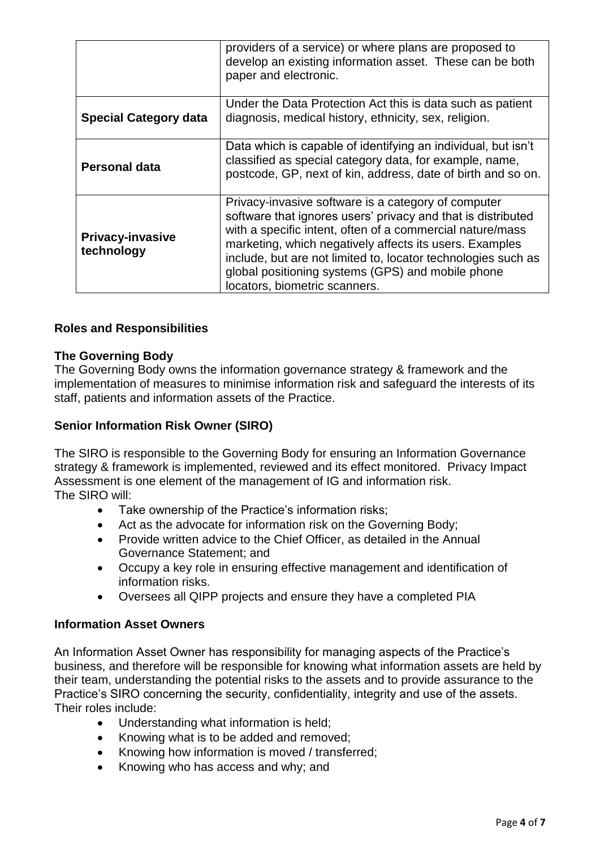|                                       | providers of a service) or where plans are proposed to<br>develop an existing information asset. These can be both<br>paper and electronic.                                                                                                                                                                                                                                                        |
|---------------------------------------|----------------------------------------------------------------------------------------------------------------------------------------------------------------------------------------------------------------------------------------------------------------------------------------------------------------------------------------------------------------------------------------------------|
| <b>Special Category data</b>          | Under the Data Protection Act this is data such as patient<br>diagnosis, medical history, ethnicity, sex, religion.                                                                                                                                                                                                                                                                                |
| <b>Personal data</b>                  | Data which is capable of identifying an individual, but isn't<br>classified as special category data, for example, name,<br>postcode, GP, next of kin, address, date of birth and so on.                                                                                                                                                                                                           |
| <b>Privacy-invasive</b><br>technology | Privacy-invasive software is a category of computer<br>software that ignores users' privacy and that is distributed<br>with a specific intent, often of a commercial nature/mass<br>marketing, which negatively affects its users. Examples<br>include, but are not limited to, locator technologies such as<br>global positioning systems (GPS) and mobile phone<br>locators, biometric scanners. |

## **Roles and Responsibilities**

## **The Governing Body**

The Governing Body owns the information governance strategy & framework and the implementation of measures to minimise information risk and safeguard the interests of its staff, patients and information assets of the Practice.

## **Senior Information Risk Owner (SIRO)**

The SIRO is responsible to the Governing Body for ensuring an Information Governance strategy & framework is implemented, reviewed and its effect monitored. Privacy Impact Assessment is one element of the management of IG and information risk. The SIRO will:

- Take ownership of the Practice's information risks;
- Act as the advocate for information risk on the Governing Body;
- Provide written advice to the Chief Officer, as detailed in the Annual Governance Statement; and
- Occupy a key role in ensuring effective management and identification of information risks.
- Oversees all QIPP projects and ensure they have a completed PIA

#### **Information Asset Owners**

An Information Asset Owner has responsibility for managing aspects of the Practice's business, and therefore will be responsible for knowing what information assets are held by their team, understanding the potential risks to the assets and to provide assurance to the Practice's SIRO concerning the security, confidentiality, integrity and use of the assets. Their roles include:

- Understanding what information is held;
- Knowing what is to be added and removed;
- Knowing how information is moved / transferred;
- Knowing who has access and why; and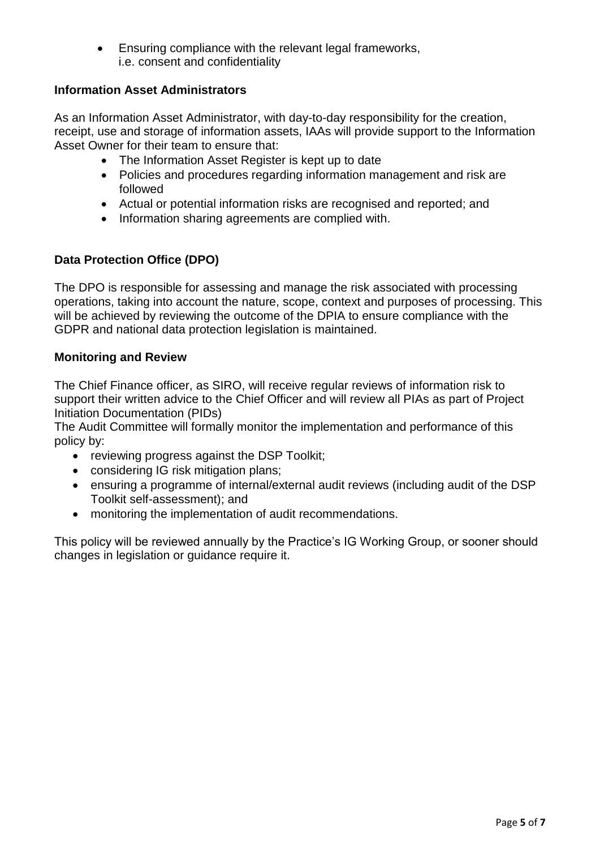Ensuring compliance with the relevant legal frameworks, i.e. consent and confidentiality

## **Information Asset Administrators**

As an Information Asset Administrator, with day-to-day responsibility for the creation, receipt, use and storage of information assets, IAAs will provide support to the Information Asset Owner for their team to ensure that:

- The Information Asset Register is kept up to date
- Policies and procedures regarding information management and risk are followed
- Actual or potential information risks are recognised and reported; and
- Information sharing agreements are complied with.

## **Data Protection Office (DPO)**

The DPO is responsible for assessing and manage the risk associated with processing operations, taking into account the nature, scope, context and purposes of processing. This will be achieved by reviewing the outcome of the DPIA to ensure compliance with the GDPR and national data protection legislation is maintained.

## **Monitoring and Review**

The Chief Finance officer, as SIRO, will receive regular reviews of information risk to support their written advice to the Chief Officer and will review all PIAs as part of Project Initiation Documentation (PIDs)

The Audit Committee will formally monitor the implementation and performance of this policy by:

- reviewing progress against the DSP Toolkit;
- considering IG risk mitigation plans;
- ensuring a programme of internal/external audit reviews (including audit of the DSP Toolkit self-assessment); and
- monitoring the implementation of audit recommendations.

This policy will be reviewed annually by the Practice's IG Working Group, or sooner should changes in legislation or guidance require it.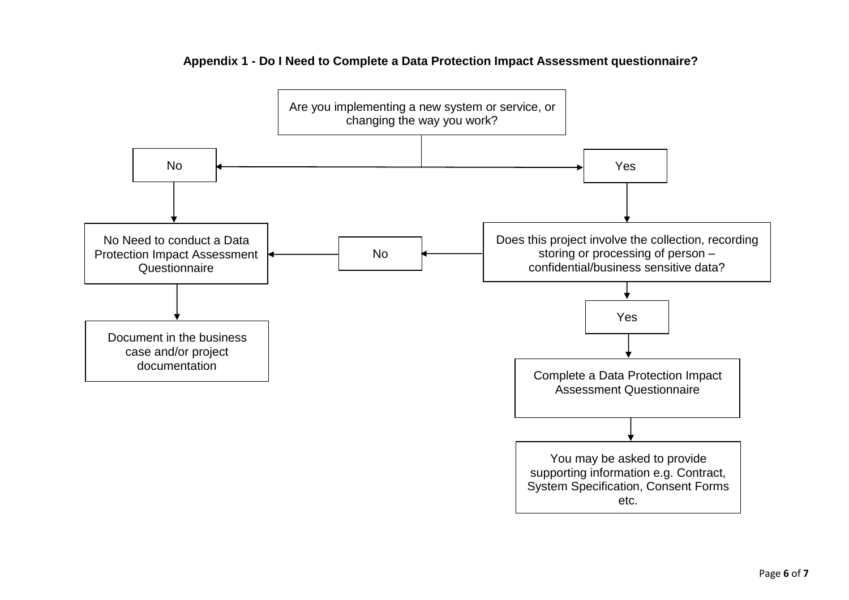

#### **Appendix 1 - Do I Need to Complete a Data Protection Impact Assessment questionnaire?**